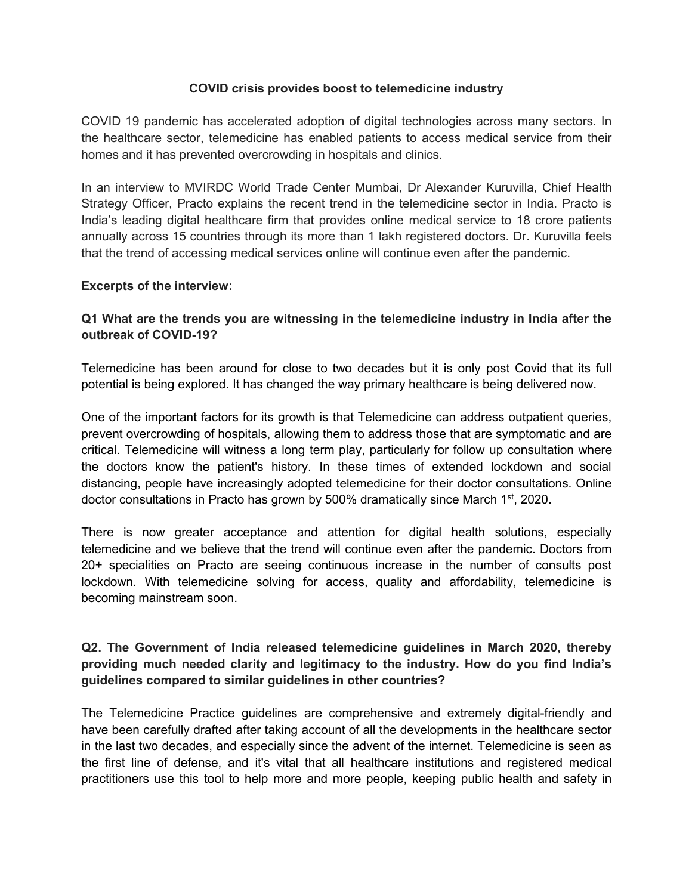### **COVID crisis provides boost to telemedicine industry**

COVID 19 pandemic has accelerated adoption of digital technologies across many sectors. In the healthcare sector, telemedicine has enabled patients to access medical service from their homes and it has prevented overcrowding in hospitals and clinics.

In an interview to MVIRDC World Trade Center Mumbai, Dr Alexander Kuruvilla, Chief Health Strategy Officer, Practo explains the recent trend in the telemedicine sector in India. Practo is India's leading digital healthcare firm that provides online medical service to 18 crore patients annually across 15 countries through its more than 1 lakh registered doctors. Dr. Kuruvilla feels that the trend of accessing medical services online will continue even after the pandemic.

#### **Excerpts of the interview:**

## **Q1 What are the trends you are witnessing in the telemedicine industry in India after the outbreak of COVID-19?**

Telemedicine has been around for close to two decades but it is only post Covid that its full potential is being explored. It has changed the way primary healthcare is being delivered now.

One of the important factors for its growth is that Telemedicine can address outpatient queries, prevent overcrowding of hospitals, allowing them to address those that are symptomatic and are critical. Telemedicine will witness a long term play, particularly for follow up consultation where the doctors know the patient's history. In these times of extended lockdown and social distancing, people have increasingly adopted telemedicine for their doctor consultations. Online doctor consultations in Practo has grown by 500% dramatically since March 1 st, 2020.

There is now greater acceptance and attention for digital health solutions, especially telemedicine and we believe that the trend will continue even after the pandemic. Doctors from 20+ specialities on Practo are seeing continuous increase in the number of consults post lockdown. With telemedicine solving for access, quality and affordability, telemedicine is becoming mainstream soon.

## **Q2. The Government of India released telemedicine guidelines in March 2020, thereby providing much needed clarity and legitimacy to the industry. How do you find India's guidelines compared to similar guidelines in other countries?**

The Telemedicine Practice guidelines are comprehensive and extremely digital-friendly and have been carefully drafted after taking account of all the developments in the healthcare sector in the last two decades, and especially since the advent of the internet. Telemedicine is seen as the first line of defense, and it's vital that all healthcare institutions and registered medical practitioners use this tool to help more and more people, keeping public health and safety in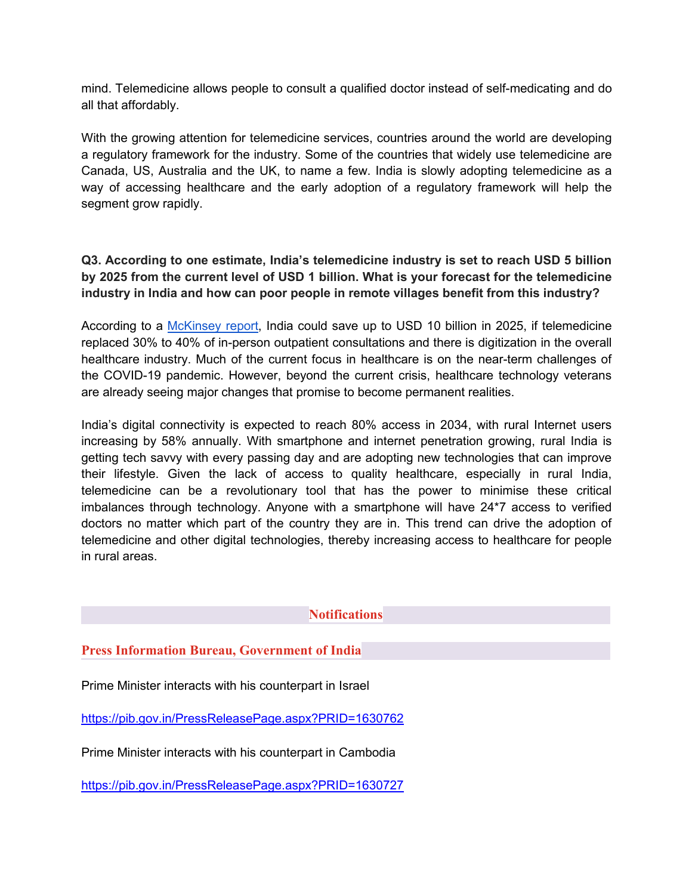mind. Telemedicine allows people to consult a qualified doctor instead of self-medicating and do all that affordably.

With the growing attention for telemedicine services, countries around the world are developing a regulatory framework for the industry. Some of the countries that widely use telemedicine are Canada, US, Australia and the UK, to name a few. India is slowly adopting telemedicine as a way of accessing healthcare and the early adoption of a regulatory framework will help the segment grow rapidly.

# **Q3. According to one estimate, India's telemedicine industry is set to reach USD 5 billion by 2025 from the current level of USD 1 billion. What is your forecast for the telemedicine industry in India and how can poor people in remote villages benefit from this industry?**

According to a [McKinsey](https://www.mckinsey.com/~/media/mckinsey/business%20functions/mckinsey%20digital/our%20insights/digital%20india%20technology%20to%20transform%20a%20connected%20nation/digital-india-technology-to-transform-a-connected-nation-full-report.ashx) report, India could save up to USD 10 billion in 2025, if telemedicine replaced 30% to 40% of in-person outpatient consultations and there is digitization in the overall healthcare industry. Much of the current focus in healthcare is on the near-term challenges of the COVID-19 pandemic. However, beyond the current crisis, healthcare technology veterans are already seeing major changes that promise to become permanent realities.

India's digital connectivity is expected to reach 80% access in 2034, with rural Internet users increasing by 58% annually. With smartphone and internet penetration growing, rural India is getting tech savvy with every passing day and are adopting new technologies that can improve their lifestyle. Given the lack of access to quality healthcare, especially in rural India, telemedicine can be a revolutionary tool that has the power to minimise these critical imbalances through technology. Anyone with a smartphone will have 24\*7 access to verified doctors no matter which part of the country they are in. This trend can drive the adoption of telemedicine and other digital technologies, thereby increasing access to healthcare for people in rural areas.

## **Notifications**

## **Press Information Bureau, Government of India**

Prime Minister interacts with his counterpart in Israel

<https://pib.gov.in/PressReleasePage.aspx?PRID=1630762>

Prime Minister interacts with his counterpart in Cambodia

<https://pib.gov.in/PressReleasePage.aspx?PRID=1630727>